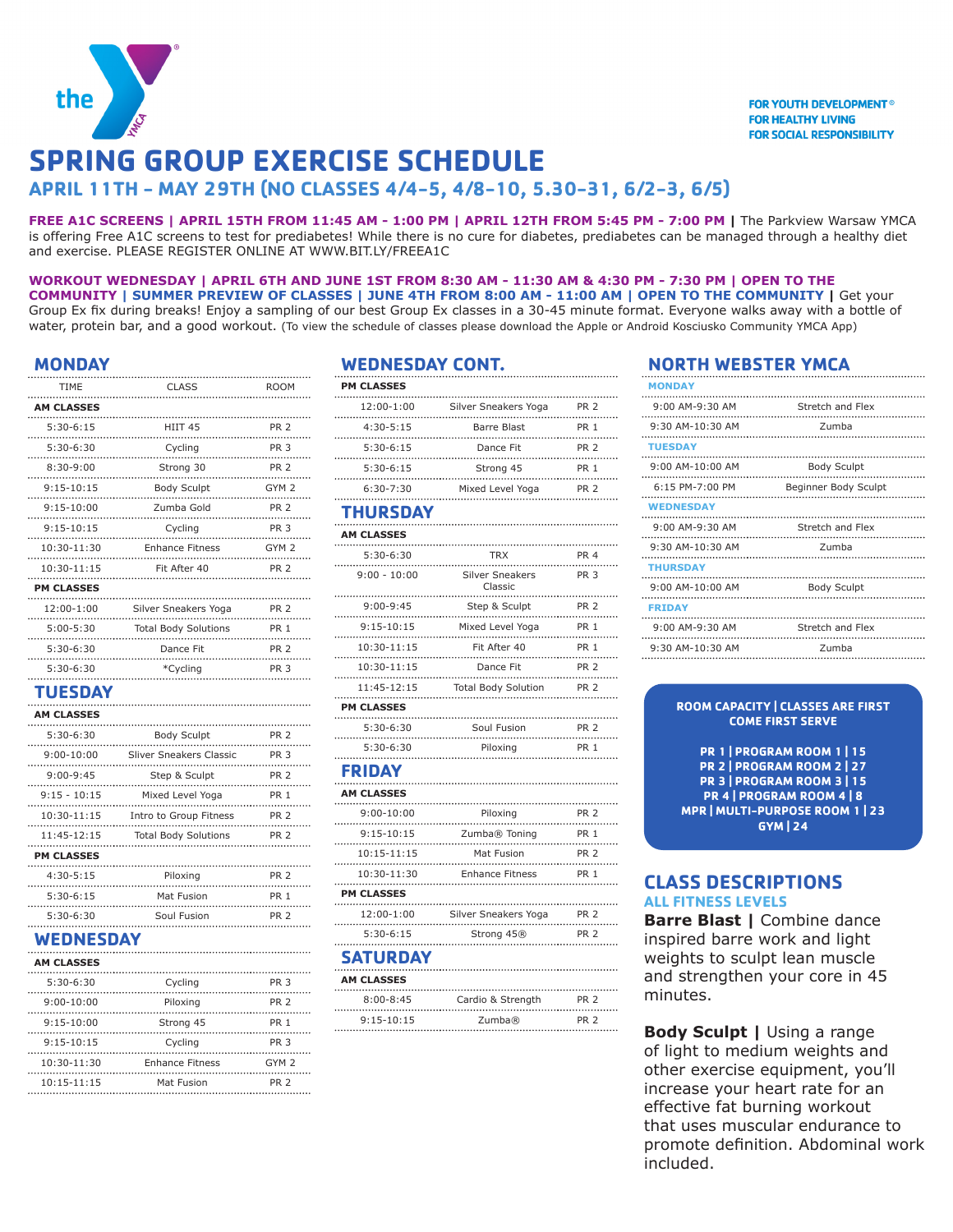

# **SPRING GROUP EXERCISE SCHEDULE**

# **APRIL 11TH - MAY 29TH (NO CLASSES 4/4-5, 4/8-10, 5.30-31, 6/2-3, 6/5)**

**FREE A1C SCREENS | APRIL 15TH FROM 11:45 AM - 1:00 PM | APRIL 12TH FROM 5:45 PM - 7:00 PM |** The Parkview Warsaw YMCA is offering Free A1C screens to test for prediabetes! While there is no cure for diabetes, prediabetes can be managed through a healthy diet and exercise. PLEASE REGISTER ONLINE AT WWW.BIT.LY/FREEA1C

#### **WORKOUT WEDNESDAY | APRIL 6TH AND JUNE 1ST FROM 8:30 AM - 11:30 AM & 4:30 PM - 7:30 PM | OPEN TO THE COMMUNITY | SUMMER PREVIEW OF CLASSES | JUNE 4TH FROM 8:00 AM - 11:00 AM | OPEN TO THE COMMUNITY |** Get your Group Ex fix during breaks! Enjoy a sampling of our best Group Ex classes in a 30-45 minute format. Everyone walks away with a bottle of water, protein bar, and a good workout. (To view the schedule of classes please download the Apple or Android Kosciusko Community YMCA App)

### **MONDAY**

| <b>TIME</b>       | <b>CLASS</b><br>.                              | <b>ROOM</b>      |
|-------------------|------------------------------------------------|------------------|
| <b>AM CLASSES</b> |                                                |                  |
| $5:30-6:15$       | HIIT 45<br>.<br>.                              | PR <sub>2</sub>  |
| $5:30-6:30$       | Cycling<br>.<br>.                              | <b>PR 3</b>      |
| $8:30 - 9:00$     | Strong 30<br><br>.                             | <b>PR 2</b>      |
| $9:15-10:15$      | <b>Body Sculpt</b><br>.<br>. <b>. <b>.</b></b> | GYM 2            |
| 9:15-10:00        | Zumba Gold                                     | $PR$ 2           |
| $9:15 - 10:15$    | Cycling<br>.                                   | <b>PR 3</b>      |
| $10:30-11:30$     | <b>Enhance Fitness</b>                         | GYM <sub>2</sub> |
|                   | 10:30-11:15 Fit After 40<br>.                  | PR <sub>2</sub>  |
| <b>PM CLASSES</b> |                                                |                  |
|                   | 12:00-1:00 Silver Sneakers Yoga                | <b>PR 2</b>      |
| $5:00 - 5:30$     | <b>Total Body Solutions</b>                    | <b>PR 1</b>      |
| $5:30-6:30$       | Dance Fit<br>.                                 | <b>PR 2</b>      |
| 5:30-6:30         | *Cycling                                       | PR <sub>3</sub>  |
| <b>TUESDAY</b>    |                                                |                  |
| <b>AM CLASSES</b> |                                                |                  |
| 5:30-6:30         | <br><b>Body Sculpt</b>                         | <b>PR 2</b>      |
|                   | .<br>9:00-10:00 Sliver Sneakers Classic        | PR <sub>3</sub>  |
| $9:00-9:45$       | Step & Sculpt                                  | PR <sub>2</sub>  |
| $9:15 - 10:15$    | .<br>Mixed Level Yoga                          | .<br><b>PR 1</b> |
| $10.20 - 11.15$   | Intro to Croup Fitness                         | DD <sub>2</sub>  |

| $10:30 - 11:15$   | Intro to Group Fitness      | <b>PR 2</b>     |
|-------------------|-----------------------------|-----------------|
| $11:45-12:15$     | <b>Total Body Solutions</b> | <b>PR 2</b>     |
| <b>PM CLASSES</b> |                             |                 |
| $4:30 - 5:15$     | Piloxing                    | PR <sub>2</sub> |
| $5:30-6:15$       | Mat Fusion                  | <b>PR 1</b>     |
| $5:30-6:30$       | Soul Fusion                 | PR <sub>2</sub> |

# **WEDNESDAY**

| <b>AM CLASSES</b> |                        |                  |
|-------------------|------------------------|------------------|
| $5:30-6:30$       | Cycling                | <b>PR 3</b>      |
| $9:00 - 10:00$    | Piloxing               | <b>PR 2</b>      |
| $9:15 - 10:00$    | Strong 45              | PR <sub>1</sub>  |
| $9:15 - 10:15$    | Cycling                | PR <sub>3</sub>  |
| $10:30-11:30$     | <b>Enhance Fitness</b> | GYM <sub>2</sub> |
| $10:15 - 11:15$   | Mat Fusion             | PR <sub>2</sub>  |

## **WEDNESDAY CONT.**

| <b>PM CLASSES</b>  |                                              |                 |
|--------------------|----------------------------------------------|-----------------|
| 12:00-1:00         | Silver Sneakers Yoga<br><del>.</del> <b></b> | PR <sub>2</sub> |
| 4:30-5:15<br>.     | <b>Barre Blast</b><br>                       | PR 1            |
| $5:30-6:15$        | Dance Fit<br>.                               | PR 2            |
| $5:30-6:15$<br>.   | Strong 45                                    | PR <sub>1</sub> |
| 6:30-7:30          | Mixed Level Yoga<br>.                        | PR 2            |
| THURSDAY           |                                              |                 |
| <b>AM CLASSES</b>  |                                              |                 |
| 5:30-6:30          | <b>TRX</b>                                   | <b>PR 4</b>     |
| <br>$9:00 - 10:00$ | .<br><b>Silver Sneakers</b><br>Classic       | PR <sub>3</sub> |
| $9:00 - 9:45$      | Step & Sculpt<br>5τep α suup.<br>………………………   | PR <sub>2</sub> |
| $9:15 - 10:15$     | Mixed Level Yoga<br>.                        | PR <sub>1</sub> |
| 10:30-11:15        | Fit After 40                                 | PR 1            |
| 10:30-11:15        | Dance Fit                                    | <b>PR 2</b>     |
| 11:45-12:15        | <b>Total Body Solution</b>                   | PR <sub>2</sub> |
| <b>PM CLASSES</b>  |                                              |                 |
| 5:30-6:30          | Soul Fusion                                  | PR 2            |
| 5:30-6:30          | Piloxing                                     | PR 1            |
| <b>FRIDAY</b>      |                                              |                 |
| <b>AM CLASSES</b>  | .                                            |                 |
| 9:00-10:00         | Piloxing                                     | PR 2            |
| 9:15-10:15         | Zumba® Toning                                | PR 1            |
| $10:15 - 11:15$    | Mat Fusion                                   | <b>PR 2</b>     |
| 10:30-11:30        | <b>Enhance Fitness</b>                       | PR 1            |
| <b>PM CLASSES</b>  |                                              |                 |
| 12:00-1:00         | Silver Sneakers Yoga<br>                     | PR <sub>2</sub> |
| 5:30-6:15          | Strong 45®                                   | PR 2            |
| <b>SATURDAY</b>    |                                              |                 |
| <b>AM CLASSES</b>  |                                              |                 |
| $8:00 - 8:45$      | Cardio & Strength                            | PR 2            |
| $9:15 - 10:15$     | Zumba®                                       | <b>PR 2</b>     |

# **NORTH WEBSTER YMCA**

| <b>MONDAY</b>      |                         |
|--------------------|-------------------------|
| $9:00$ AM-9:30 AM  | Stretch and Flex        |
| 9:30 AM-10:30 AM   | Zumba                   |
| <b>TUESDAY</b>     |                         |
| $9:00$ AM-10:00 AM | <b>Body Sculpt</b>      |
| 6:15 PM-7:00 PM    | Beginner Body Sculpt    |
| <b>WEDNESDAY</b>   |                         |
| $9:00$ AM-9:30 AM  | Stretch and Flex        |
| 9:30 AM-10:30 AM   | Zumba                   |
| <b>THURSDAY</b>    |                         |
| $9:00$ AM-10:00 AM | <b>Body Sculpt</b><br>. |
| <b>FRIDAY</b>      |                         |
| $9:00$ AM-9:30 AM  | Stretch and Flex        |
| 9:30 AM-10:30 AM   | Zumba                   |

#### **ROOM CAPACITY | CLASSES ARE FIRST COME FIRST SERVE**

**PR 1 | PROGRAM ROOM 1 | 15 PR 2 | PROGRAM ROOM 2 | 27 PR 3 | PROGRAM ROOM 3 | 15 PR 4 | PROGRAM ROOM 4 | 8 MPR | MULTI-PURPOSE ROOM 1 | 23 GYM | 24**

# **CLASS DESCRIPTIONS ALL FITNESS LEVELS**

**Barre Blast |** Combine dance inspired barre work and light weights to sculpt lean muscle and strengthen your core in 45 minutes.

**Body Sculpt | Using a range** of light to medium weights and other exercise equipment, you'll increase your heart rate for an effective fat burning workout that uses muscular endurance to promote definition. Abdominal work included.